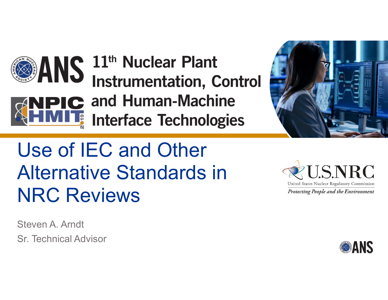



# Use of IEC and Other Alternative Standards in NRC Reviews

Steven A. ArndtSr. Technical Advisor



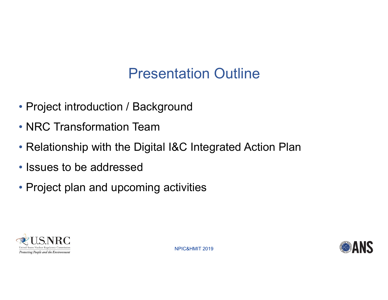#### Presentation Outline

- Project introduction / Background
- NRC Transformation Team
- Relationship with the Digital I&C Integrated Action Plan
- Issues to be addressed
- Project plan and upcoming activities



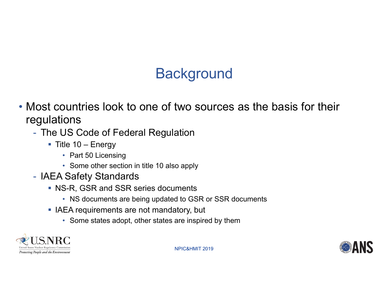## **Background**

- Most countries look to one of two sources as the basis for their regulations
	- - The US Code of Federal Regulation
		- $\blacksquare$  Title 10 Energy
			- Part 50 Licensing
			- Some other section in title 10 also apply
	- IAEA Safety Standards
		- NS-R, GSR and SSR series documents
			- NS documents are being updated to GSR or SSR documents
		- **I** IAEA requirements are not mandatory, but
			- Some states adopt, other states are inspired by them



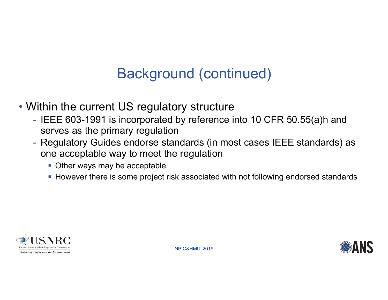### Background (continued)

- Within the current US regulatory structure
	- -- IEEE 603-1991 is incorporated by reference into 10 CFR 50.55(a)h and serves as the primary regulation
	- Regulatory Guides endorse standards (in most cases IEEE standards) as one acceptable way to meet the regulation
		- **Other ways may be acceptable**
		- However there is some project risk associated with not following endorsed standards



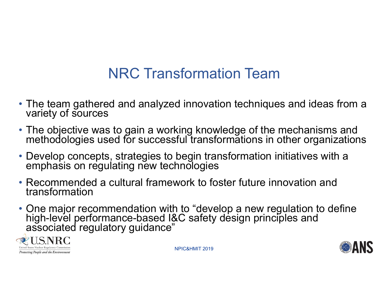## NRC Transformation Team

- The team gathered and analyzed innovation techniques and ideas from a variety of sources
- The objective was to gain a working knowledge of the mechanisms and methodologies used for successful transformations in other organizations
- Develop concepts, strategies to begin transformation initiatives with a emphasis on regulating new technologies
- Recommended a cultural framework to foster future innovation and transformation
- One major recommendation with to "develop a new regulation to define high-level performance-based I&C safety design principles and associated regulatory guidance"

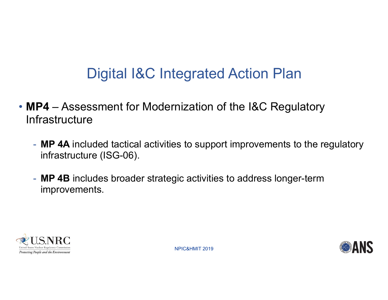## Digital I&C Integrated Action Plan

- **MP4**  Assessment for Modernization of the I&C Regulatory **Infrastructure** 
	- **MP 4A** included tactical activities to support improvements to the regulatory infrastructure (ISG-06).
	- **MP 4B** includes broader strategic activities to address longer-term improvements.



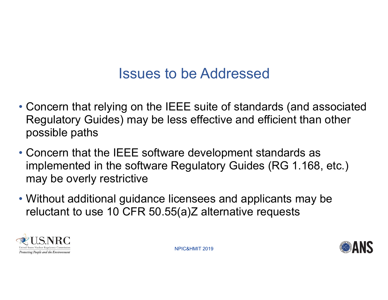#### Issues to be Addressed

- Concern that relying on the IEEE suite of standards (and associated Regulatory Guides) may be less effective and efficient than other possible paths
- Concern that the IEEE software development standards as implemented in the software Regulatory Guides (RG 1.168, etc.) may be overly restrictive
- Without additional guidance licensees and applicants may be reluctant to use 10 CFR 50.55(a)Z alternative requests



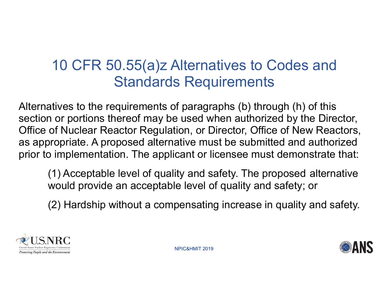### 10 CFR 50.55(a)z Alternatives to Codes and Standards Requirements

Alternatives to the requirements of paragraphs (b) through (h) of this section or portions thereof may be used when authorized by the Director, Office of Nuclear Reactor Regulation, or Director, Office of New Reactors, as appropriate. A proposed alternative must be submitted and authorized prior to implementation. The applicant or licensee must demonstrate that:

(1) Acceptable level of quality and safety. The proposed alternative would provide an acceptable level of quality and safety; or

(2) Hardship without a compensating increase in quality and safety.



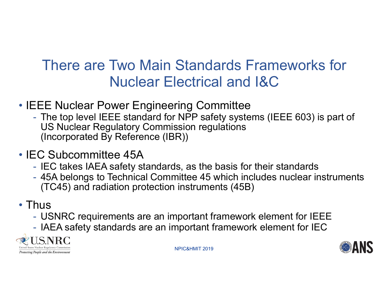#### There are Two Main Standards Frameworks for Nuclear Electrical and I&C

- IEEE Nuclear Power Engineering Committee
	- The top level IEEE standard for NPP safety systems (IEEE 603) is part of US Nuclear Regulatory Commission regulations (Incorporated By Reference (IBR))
- IEC Subcommittee 45A
	- IEC takes IAEA safety standards, as the basis for their standards
	- 45A belongs to Technical Committee 45 which includes nuclear instruments (TC45) and radiation protection instruments (45B)
- Thus
	- $\mathcal{L}_{\mathcal{A}}$ USNRC requirements are an important framework element for IEEE
	- -IAEA safety standards are an important framework element for IE C



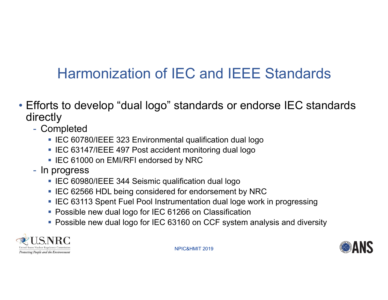## Harmonization of IEC and IEEE Standards

- Efforts to develop "dual logo" standards or endorse IEC standards directly
	- Completed
		- IEC 60780/IEEE 323 Environmental qualification dual logo
		- IEC 63147/IEEE 497 Post accident monitoring dual logo
		- IEC 61000 on EMI/RFI endorsed by NRC
	- In progress
		- IEC 60980/IEEE 344 Seismic qualification dual logo
		- IEC 62566 HDL being considered for endorsement by NRC
		- IEC 63113 Spent Fuel Pool Instrumentation dual loge work in progressing
		- Possible new dual logo for IEC 61266 on Classification
		- Possible new dual logo for IEC 63160 on CCF system analysis and diversity



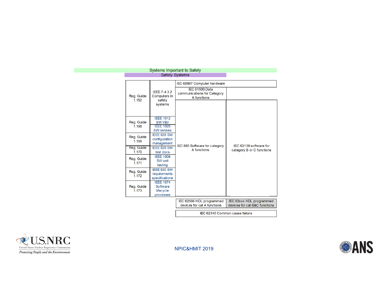| <b>Safety Systems</b> |                                                               |                                                              |                                                           |
|-----------------------|---------------------------------------------------------------|--------------------------------------------------------------|-----------------------------------------------------------|
|                       |                                                               | IEC 60987 Computer hardware                                  |                                                           |
| Reg. Guide<br>1.152   | IEEE 7-4.3.2<br>Computers in<br>safety                        | IEC 61500 Data<br>communications for Category<br>A functions |                                                           |
|                       | systems                                                       |                                                              |                                                           |
| Reg. Guide<br>1.168   | <b>IEEE 1012</b><br>SW V&V                                    | IEC 880 Software for category<br>A functions                 | IEC 62138 software for<br>category B or C functions       |
|                       | <b>IEEE 1028</b><br><b>SW</b> reviews                         |                                                              |                                                           |
| Reg. Guide<br>1.169   | IEEE 828 SW<br>configuration<br>management                    |                                                              |                                                           |
| Reg. Guide<br>1.170   | IEEE 829 SW<br>test docs                                      |                                                              |                                                           |
| Reg. Guide<br>1.171   | <b>IEEE 1008</b><br>SW unit<br>testing                        |                                                              |                                                           |
| Reg. Guide<br>1.172   | IEEE 830 SW<br>requirements<br>specifications                 |                                                              |                                                           |
| Reg. Guide<br>1.173   | <b>IEEE 1074</b><br>Software<br><b>lifecycle</b><br>processes |                                                              |                                                           |
|                       |                                                               | IEC 62566 HDL programmed<br>devices for cat A functions      | IEC 63xxx HDL programmed<br>devices for cat B&C functions |
|                       |                                                               | IEC 62340 Common cause failure                               |                                                           |

**Systems Important to Safety** 



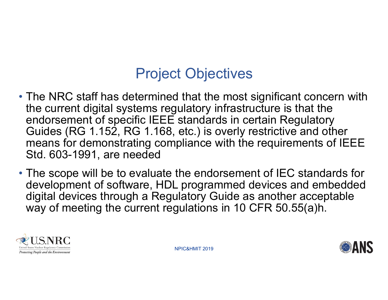#### Project Objectives

- The NRC staff has determined that the most significant concern with the current digital systems regulatory infrastructure is that the endorsement of specific IEEE standards in certain Regulatory Guides (RG 1.152, RG 1.168, etc.) is overly restrictive and other means for demonstrating compliance with the requirements of IEEE Std. 603-1991, are needed
- The scope will be to evaluate the endorsement of IEC standards for development of software, HDL programmed devices and embedded digital devices through a Regulatory Guide as another acceptable way of meeting the current regulations in 10 CFR 50.55(a)h.



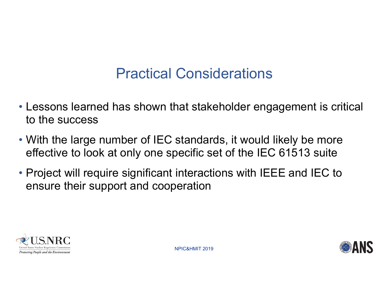#### Practical Considerations

- Lessons learned has shown that stakeholder engagement is critical to the success
- With the large number of IEC standards, it would likely be more effective to look at only one specific set of the IEC 61513 suite
- Project will require significant interactions with IEEE and IEC to ensure their support and cooperation



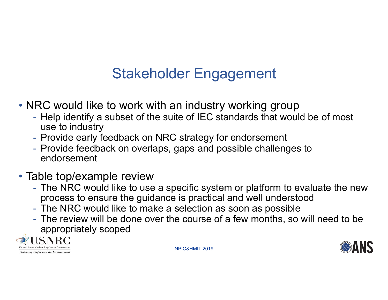## Stakeholder Engagement

- NRC would like to work with an industry working group
	- Help identify a subset of the suite of IEC standards that would be of most use to industry
	- Provide early feedback on NRC strategy for endorsement
	- Provide feedback on overlaps, gaps and possible challenges to endorsement
- Table top/example review
	- The NRC would like to use a specific system or platform to evaluate the new process to ensure the guidance is practical and well understood
	- The NRC would like to make a selection as soon as possible
	- The review will be done over the course of a few months, so will need to be appropriately scoped



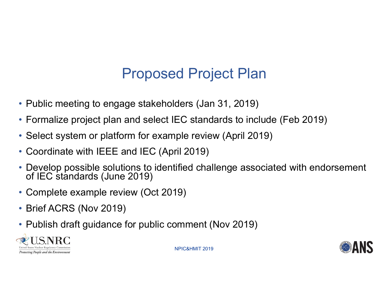### Proposed Project Plan

- Public meeting to engage stakeholders (Jan 31, 2019)
- Formalize project plan and select IEC standards to include (Feb 2019)
- Select system or platform for example review (April 2019)
- Coordinate with IEEE and IEC (April 2019)
- Develop possible solutions to identified challenge associated with endorsement<br>of IEC standards (June 2019)
- Complete example review (Oct 2019)
- Brief ACRS (Nov 2019)
- Publish draft guidance for public comment (Nov 2019)